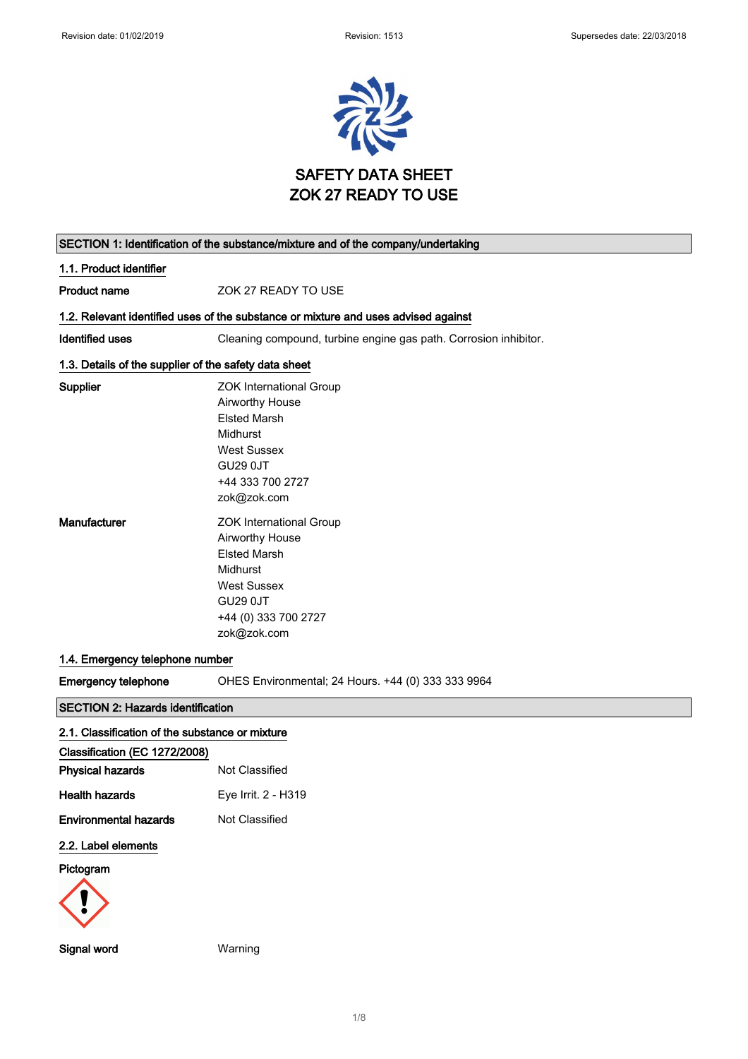

# SECTION 1: Identification of the substance/mixture and of the company/undertaking 1.1. Product identifier Product name **ZOK 27 READY TO USE** 1.2. Relevant identified uses of the substance or mixture and uses advised against Identified uses Cleaning compound, turbine engine gas path. Corrosion inhibitor. 1.3. Details of the supplier of the safety data sheet Supplier **Supplier ZOK** International Group Airworthy House Elsted Marsh Midhurst West Sussex GU29 0JT +44 333 700 2727 zok@zok.com Manufacturer **Manufacturer ZOK** International Group Airworthy House Elsted Marsh Midhurst West Sussex GU29 0JT +44 (0) 333 700 2727 zok@zok.com 1.4. Emergency telephone number Emergency telephone OHES Environmental; 24 Hours. +44 (0) 333 333 9964 SECTION 2: Hazards identification 2.1. Classification of the substance or mixture Classification (EC 1272/2008) **Physical hazards** Not Classified Health hazards Eye Irrit. 2 - H319 **Environmental hazards** Not Classified 2.2. Label elements Pictogram



Signal word Warning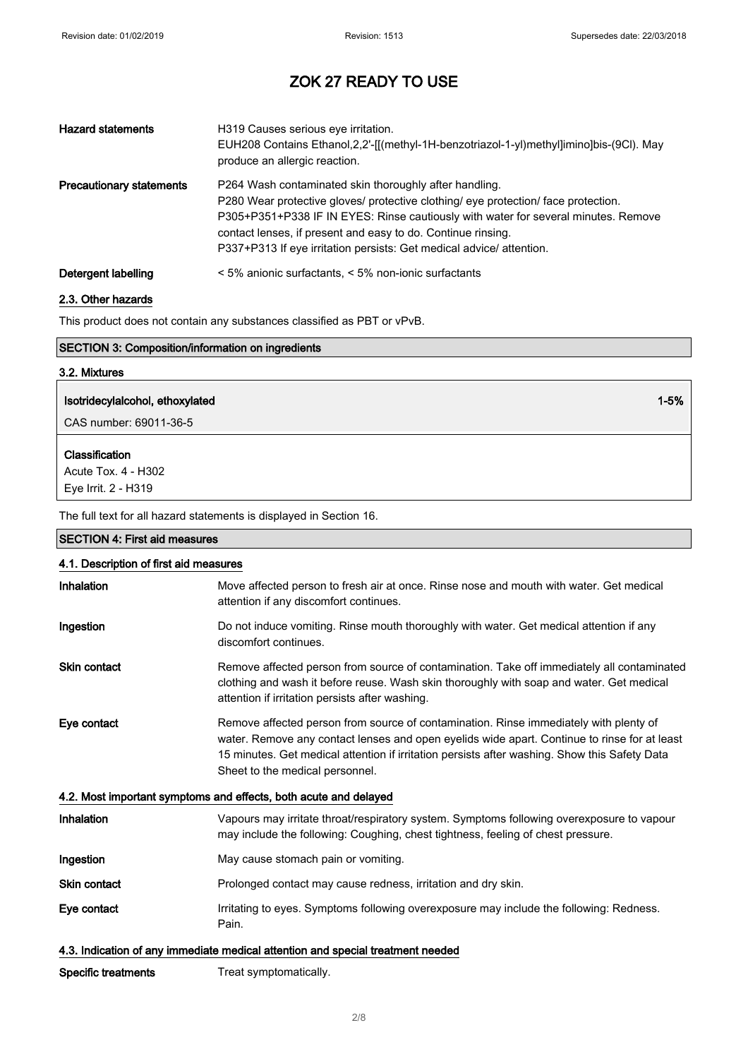| <b>Hazard statements</b>        | H319 Causes serious eye irritation.<br>EUH208 Contains Ethanol, 2, 2'-[[(methyl-1H-benzotriazol-1-yl)methyl]imino]bis-(9Cl). May<br>produce an allergic reaction.                                                                                                                                                                                                         |
|---------------------------------|---------------------------------------------------------------------------------------------------------------------------------------------------------------------------------------------------------------------------------------------------------------------------------------------------------------------------------------------------------------------------|
| <b>Precautionary statements</b> | P264 Wash contaminated skin thoroughly after handling.<br>P280 Wear protective gloves/ protective clothing/ eye protection/ face protection.<br>P305+P351+P338 IF IN EYES: Rinse cautiously with water for several minutes. Remove<br>contact lenses, if present and easy to do. Continue rinsing.<br>P337+P313 If eye irritation persists: Get medical advice/attention. |
| Detergent labelling             | $\leq$ 5% anionic surfactants, $\leq$ 5% non-ionic surfactants                                                                                                                                                                                                                                                                                                            |

### 2.3. Other hazards

This product does not contain any substances classified as PBT or vPvB.

| <b>SECTION 3: Composition/information on ingredients</b> |          |
|----------------------------------------------------------|----------|
| 3.2. Mixtures                                            |          |
| Isotridecylalcohol, ethoxylated                          | $1 - 5%$ |
| ∣ CAS number: 69011-36-5                                 |          |

Classification

Acute Tox. 4 - H302 Eye Irrit. 2 - H319

The full text for all hazard statements is displayed in Section 16.

# SECTION 4: First aid measures 4.1. Description of first aid measures Inhalation Move affected person to fresh air at once. Rinse nose and mouth with water. Get medical attention if any discomfort continues. Ingestion **Do not induce vomiting. Rinse mouth thoroughly with water. Get medical attention if any** discomfort continues. Skin contact **Remove affected person from source of contamination**. Take off immediately all contaminated clothing and wash it before reuse. Wash skin thoroughly with soap and water. Get medical attention if irritation persists after washing. Eye contact Remove affected person from source of contamination. Rinse immediately with plenty of water. Remove any contact lenses and open eyelids wide apart. Continue to rinse for at least 15 minutes. Get medical attention if irritation persists after washing. Show this Safety Data Sheet to the medical personnel. 4.2. Most important symptoms and effects, both acute and delayed Inhalation Vapours may irritate throat/respiratory system. Symptoms following overexposure to vapour may include the following: Coughing, chest tightness, feeling of chest pressure. Ingestion May cause stomach pain or vomiting. Skin contact **Prolonged contact may cause redness, irritation and dry skin.** Eye contact **Interact Irritating to eyes. Symptoms following overexposure may include the following: Redness.** Pain. 4.3. Indication of any immediate medical attention and special treatment needed

Specific treatments Treat symptomatically.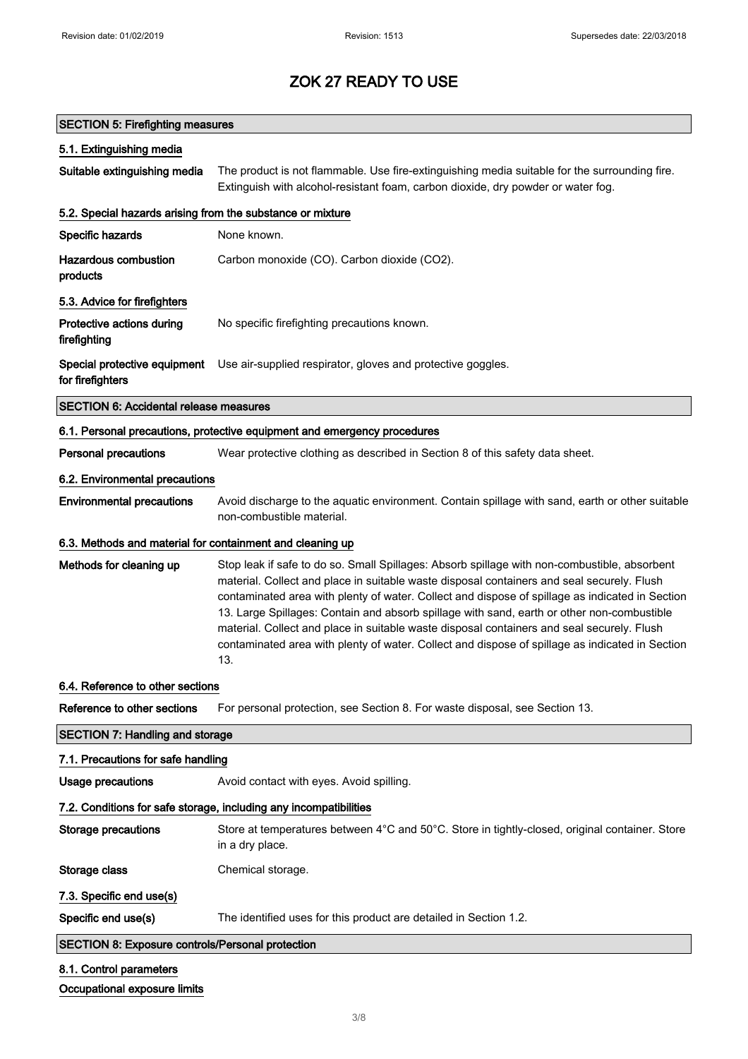Occupational exposure limits

# ZOK 27 READY TO USE

| <b>SECTION 5: Firefighting measures</b>                    |                                                                                                                                                                                                                                                                                                                                                                                                                                                                                                                                                                                                     |
|------------------------------------------------------------|-----------------------------------------------------------------------------------------------------------------------------------------------------------------------------------------------------------------------------------------------------------------------------------------------------------------------------------------------------------------------------------------------------------------------------------------------------------------------------------------------------------------------------------------------------------------------------------------------------|
| 5.1. Extinguishing media                                   |                                                                                                                                                                                                                                                                                                                                                                                                                                                                                                                                                                                                     |
| Suitable extinguishing media                               | The product is not flammable. Use fire-extinguishing media suitable for the surrounding fire.<br>Extinguish with alcohol-resistant foam, carbon dioxide, dry powder or water fog.                                                                                                                                                                                                                                                                                                                                                                                                                   |
| 5.2. Special hazards arising from the substance or mixture |                                                                                                                                                                                                                                                                                                                                                                                                                                                                                                                                                                                                     |
| Specific hazards                                           | None known.                                                                                                                                                                                                                                                                                                                                                                                                                                                                                                                                                                                         |
| <b>Hazardous combustion</b><br>products                    | Carbon monoxide (CO). Carbon dioxide (CO2).                                                                                                                                                                                                                                                                                                                                                                                                                                                                                                                                                         |
| 5.3. Advice for firefighters                               |                                                                                                                                                                                                                                                                                                                                                                                                                                                                                                                                                                                                     |
| Protective actions during<br>firefighting                  | No specific firefighting precautions known.                                                                                                                                                                                                                                                                                                                                                                                                                                                                                                                                                         |
| Special protective equipment<br>for firefighters           | Use air-supplied respirator, gloves and protective goggles.                                                                                                                                                                                                                                                                                                                                                                                                                                                                                                                                         |
| <b>SECTION 6: Accidental release measures</b>              |                                                                                                                                                                                                                                                                                                                                                                                                                                                                                                                                                                                                     |
|                                                            | 6.1. Personal precautions, protective equipment and emergency procedures                                                                                                                                                                                                                                                                                                                                                                                                                                                                                                                            |
| <b>Personal precautions</b>                                | Wear protective clothing as described in Section 8 of this safety data sheet.                                                                                                                                                                                                                                                                                                                                                                                                                                                                                                                       |
| 6.2. Environmental precautions                             |                                                                                                                                                                                                                                                                                                                                                                                                                                                                                                                                                                                                     |
| <b>Environmental precautions</b>                           | Avoid discharge to the aquatic environment. Contain spillage with sand, earth or other suitable<br>non-combustible material.                                                                                                                                                                                                                                                                                                                                                                                                                                                                        |
| 6.3. Methods and material for containment and cleaning up  |                                                                                                                                                                                                                                                                                                                                                                                                                                                                                                                                                                                                     |
| Methods for cleaning up                                    | Stop leak if safe to do so. Small Spillages: Absorb spillage with non-combustible, absorbent<br>material. Collect and place in suitable waste disposal containers and seal securely. Flush<br>contaminated area with plenty of water. Collect and dispose of spillage as indicated in Section<br>13. Large Spillages: Contain and absorb spillage with sand, earth or other non-combustible<br>material. Collect and place in suitable waste disposal containers and seal securely. Flush<br>contaminated area with plenty of water. Collect and dispose of spillage as indicated in Section<br>13. |
| 6.4. Reference to other sections                           |                                                                                                                                                                                                                                                                                                                                                                                                                                                                                                                                                                                                     |
| Reference to other sections                                | For personal protection, see Section 8. For waste disposal, see Section 13.                                                                                                                                                                                                                                                                                                                                                                                                                                                                                                                         |
| <b>SECTION 7: Handling and storage</b>                     |                                                                                                                                                                                                                                                                                                                                                                                                                                                                                                                                                                                                     |
| 7.1. Precautions for safe handling                         |                                                                                                                                                                                                                                                                                                                                                                                                                                                                                                                                                                                                     |
| <b>Usage precautions</b>                                   | Avoid contact with eyes. Avoid spilling.                                                                                                                                                                                                                                                                                                                                                                                                                                                                                                                                                            |
|                                                            | 7.2. Conditions for safe storage, including any incompatibilities                                                                                                                                                                                                                                                                                                                                                                                                                                                                                                                                   |
| <b>Storage precautions</b>                                 | Store at temperatures between 4°C and 50°C. Store in tightly-closed, original container. Store<br>in a dry place.                                                                                                                                                                                                                                                                                                                                                                                                                                                                                   |
| Storage class                                              | Chemical storage.                                                                                                                                                                                                                                                                                                                                                                                                                                                                                                                                                                                   |
| 7.3. Specific end use(s)                                   |                                                                                                                                                                                                                                                                                                                                                                                                                                                                                                                                                                                                     |
| Specific end use(s)                                        | The identified uses for this product are detailed in Section 1.2.                                                                                                                                                                                                                                                                                                                                                                                                                                                                                                                                   |
| <b>SECTION 8: Exposure controls/Personal protection</b>    |                                                                                                                                                                                                                                                                                                                                                                                                                                                                                                                                                                                                     |
| 8.1. Control parameters                                    |                                                                                                                                                                                                                                                                                                                                                                                                                                                                                                                                                                                                     |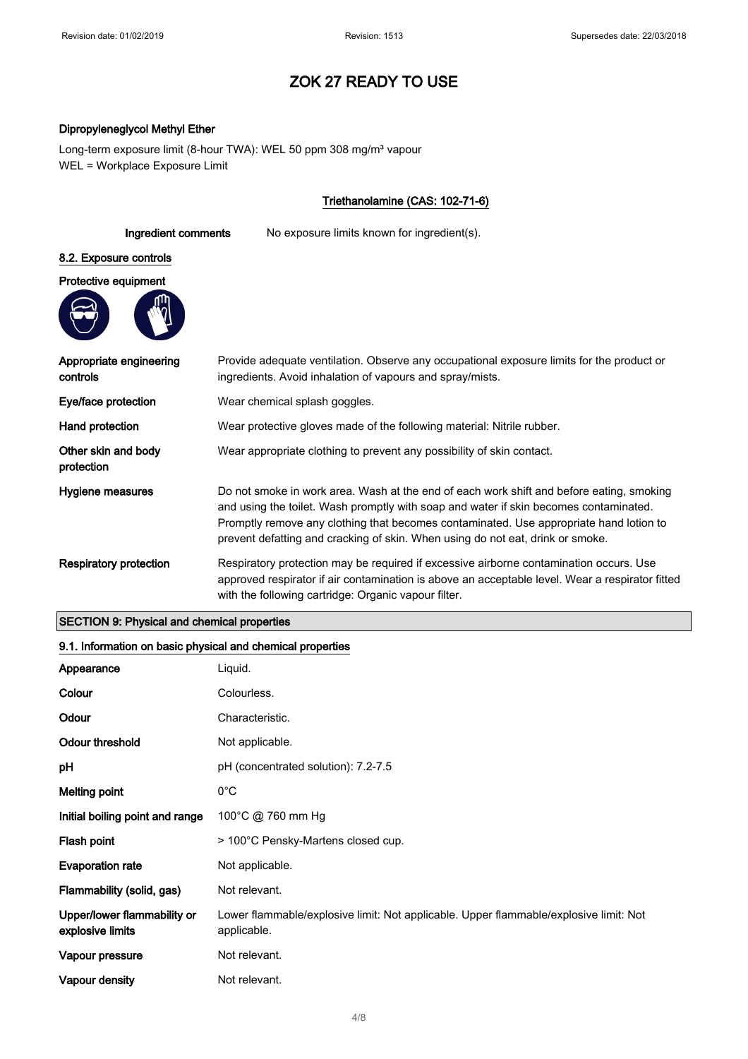### Dipropyleneglycol Methyl Ether

Long-term exposure limit (8-hour TWA): WEL 50 ppm 308 mg/m<sup>3</sup> vapour WEL = Workplace Exposure Limit

## Triethanolamine (CAS: 102-71-6)

# Ingredient comments No exposure limits known for ingredient(s). 8.2. Exposure controls Protective equipment



| Appropriate engineering<br>controls | Provide adequate ventilation. Observe any occupational exposure limits for the product or<br>ingredients. Avoid inhalation of vapours and spray/mists.                                                                                                                                                                                                        |
|-------------------------------------|---------------------------------------------------------------------------------------------------------------------------------------------------------------------------------------------------------------------------------------------------------------------------------------------------------------------------------------------------------------|
| Eye/face protection                 | Wear chemical splash goggles.                                                                                                                                                                                                                                                                                                                                 |
| Hand protection                     | Wear protective gloves made of the following material: Nitrile rubber.                                                                                                                                                                                                                                                                                        |
| Other skin and body<br>protection   | Wear appropriate clothing to prevent any possibility of skin contact.                                                                                                                                                                                                                                                                                         |
| Hygiene measures                    | Do not smoke in work area. Wash at the end of each work shift and before eating, smoking<br>and using the toilet. Wash promptly with soap and water if skin becomes contaminated.<br>Promptly remove any clothing that becomes contaminated. Use appropriate hand lotion to<br>prevent defatting and cracking of skin. When using do not eat, drink or smoke. |
| <b>Respiratory protection</b>       | Respiratory protection may be required if excessive airborne contamination occurs. Use<br>approved respirator if air contamination is above an acceptable level. Wear a respirator fitted<br>with the following cartridge: Organic vapour filter.                                                                                                             |

## SECTION 9: Physical and chemical properties

# 9.1. Information on basic physical and chemical properties

| Appearance                                      | Liquid.                                                                                              |
|-------------------------------------------------|------------------------------------------------------------------------------------------------------|
| Colour                                          | Colourless.                                                                                          |
| Odour                                           | Characteristic.                                                                                      |
| <b>Odour threshold</b>                          | Not applicable.                                                                                      |
| рH                                              | pH (concentrated solution): 7.2-7.5                                                                  |
| <b>Melting point</b>                            | $0^{\circ}$ C                                                                                        |
| Initial boiling point and range                 | 100°C @ 760 mm Hg                                                                                    |
| Flash point                                     | > 100°C Pensky-Martens closed cup.                                                                   |
| <b>Evaporation rate</b>                         | Not applicable.                                                                                      |
| Flammability (solid, gas)                       | Not relevant.                                                                                        |
| Upper/lower flammability or<br>explosive limits | Lower flammable/explosive limit: Not applicable. Upper flammable/explosive limit: Not<br>applicable. |
| Vapour pressure                                 | Not relevant.                                                                                        |
| Vapour density                                  | Not relevant.                                                                                        |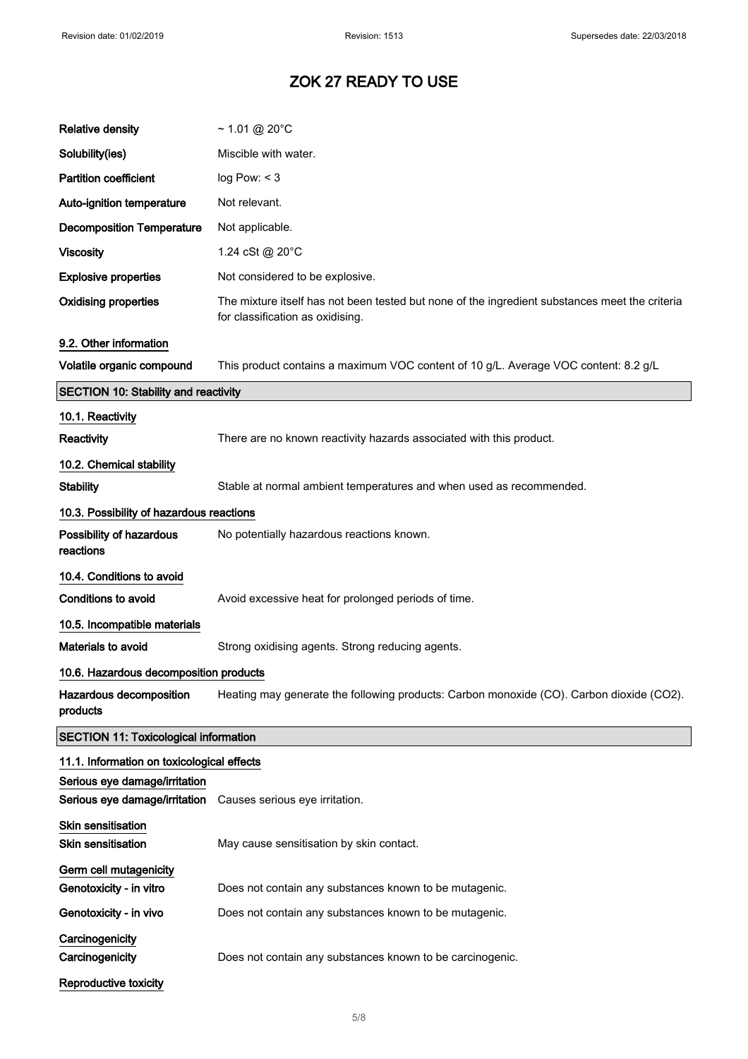| <b>Relative density</b>                                        | $\sim$ 1.01 @ 20°C                                                                                                                 |
|----------------------------------------------------------------|------------------------------------------------------------------------------------------------------------------------------------|
| Solubility(ies)                                                | Miscible with water.                                                                                                               |
| <b>Partition coefficient</b>                                   | log Pow: < 3                                                                                                                       |
| Auto-ignition temperature                                      | Not relevant.                                                                                                                      |
| <b>Decomposition Temperature</b>                               | Not applicable.                                                                                                                    |
| <b>Viscosity</b>                                               | 1.24 cSt @ 20°C                                                                                                                    |
| <b>Explosive properties</b>                                    | Not considered to be explosive.                                                                                                    |
| <b>Oxidising properties</b>                                    | The mixture itself has not been tested but none of the ingredient substances meet the criteria<br>for classification as oxidising. |
| 9.2. Other information                                         |                                                                                                                                    |
| Volatile organic compound                                      | This product contains a maximum VOC content of 10 g/L. Average VOC content: 8.2 g/L                                                |
| <b>SECTION 10: Stability and reactivity</b>                    |                                                                                                                                    |
| 10.1. Reactivity                                               |                                                                                                                                    |
| Reactivity                                                     | There are no known reactivity hazards associated with this product.                                                                |
| 10.2. Chemical stability                                       |                                                                                                                                    |
| <b>Stability</b>                                               | Stable at normal ambient temperatures and when used as recommended.                                                                |
| 10.3. Possibility of hazardous reactions                       |                                                                                                                                    |
| Possibility of hazardous<br>reactions                          | No potentially hazardous reactions known.                                                                                          |
| 10.4. Conditions to avoid                                      |                                                                                                                                    |
| <b>Conditions to avoid</b>                                     | Avoid excessive heat for prolonged periods of time.                                                                                |
| 10.5. Incompatible materials                                   |                                                                                                                                    |
| Materials to avoid                                             | Strong oxidising agents. Strong reducing agents.                                                                                   |
| 10.6. Hazardous decomposition products                         |                                                                                                                                    |
| Hazardous decomposition<br>products                            | Heating may generate the following products: Carbon monoxide (CO). Carbon dioxide (CO2).                                           |
| <b>SECTION 11: Toxicological information</b>                   |                                                                                                                                    |
| 11.1. Information on toxicological effects                     |                                                                                                                                    |
| Serious eye damage/irritation<br>Serious eye damage/irritation |                                                                                                                                    |
|                                                                | Causes serious eye irritation.                                                                                                     |
| Skin sensitisation<br><b>Skin sensitisation</b>                | May cause sensitisation by skin contact.                                                                                           |
| Germ cell mutagenicity<br>Genotoxicity - in vitro              | Does not contain any substances known to be mutagenic.                                                                             |
| Genotoxicity - in vivo                                         | Does not contain any substances known to be mutagenic.                                                                             |
| Carcinogenicity<br>Carcinogenicity                             | Does not contain any substances known to be carcinogenic.                                                                          |
| Reproductive toxicity                                          |                                                                                                                                    |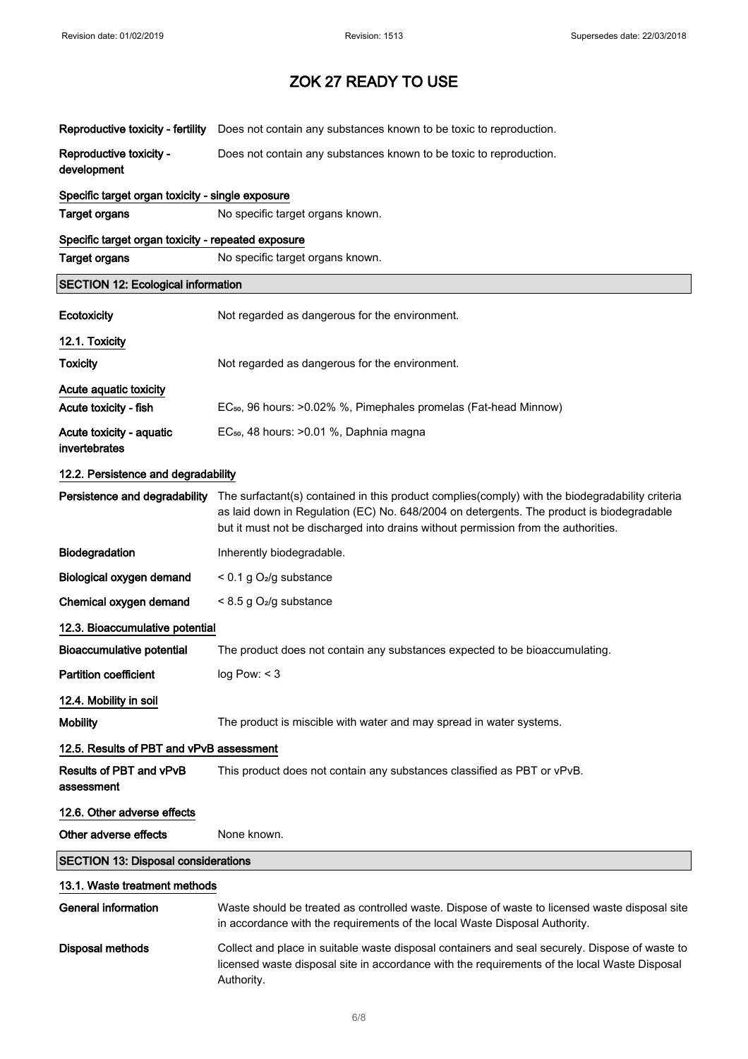| Reproductive toxicity - fertility                  | Does not contain any substances known to be toxic to reproduction.                                                                                                                                                                                                                |
|----------------------------------------------------|-----------------------------------------------------------------------------------------------------------------------------------------------------------------------------------------------------------------------------------------------------------------------------------|
| Reproductive toxicity -<br>development             | Does not contain any substances known to be toxic to reproduction.                                                                                                                                                                                                                |
| Specific target organ toxicity - single exposure   |                                                                                                                                                                                                                                                                                   |
| <b>Target organs</b>                               | No specific target organs known.                                                                                                                                                                                                                                                  |
| Specific target organ toxicity - repeated exposure |                                                                                                                                                                                                                                                                                   |
| <b>Target organs</b>                               | No specific target organs known.                                                                                                                                                                                                                                                  |
| <b>SECTION 12: Ecological information</b>          |                                                                                                                                                                                                                                                                                   |
| Ecotoxicity                                        | Not regarded as dangerous for the environment.                                                                                                                                                                                                                                    |
| 12.1. Toxicity                                     |                                                                                                                                                                                                                                                                                   |
| <b>Toxicity</b>                                    | Not regarded as dangerous for the environment.                                                                                                                                                                                                                                    |
| Acute aquatic toxicity<br>Acute toxicity - fish    | EC <sub>50</sub> , 96 hours: >0.02% %, Pimephales promelas (Fat-head Minnow)                                                                                                                                                                                                      |
| Acute toxicity - aquatic<br>invertebrates          | EC <sub>50</sub> , 48 hours: > 0.01 %, Daphnia magna                                                                                                                                                                                                                              |
| 12.2. Persistence and degradability                |                                                                                                                                                                                                                                                                                   |
| Persistence and degradability                      | The surfactant(s) contained in this product complies(comply) with the biodegradability criteria<br>as laid down in Regulation (EC) No. 648/2004 on detergents. The product is biodegradable<br>but it must not be discharged into drains without permission from the authorities. |
| Biodegradation                                     | Inherently biodegradable.                                                                                                                                                                                                                                                         |
| Biological oxygen demand                           | $< 0.1$ g O <sub>2</sub> /g substance                                                                                                                                                                                                                                             |
| Chemical oxygen demand                             | $< 8.5$ g O <sub>2</sub> /g substance                                                                                                                                                                                                                                             |
| 12.3. Bioaccumulative potential                    |                                                                                                                                                                                                                                                                                   |
| <b>Bioaccumulative potential</b>                   | The product does not contain any substances expected to be bioaccumulating.                                                                                                                                                                                                       |
| Partition coefficient                              | log Pow: < 3                                                                                                                                                                                                                                                                      |
| 12.4. Mobility in soil                             |                                                                                                                                                                                                                                                                                   |
| <b>Mobility</b>                                    | The product is miscible with water and may spread in water systems.                                                                                                                                                                                                               |
| 12.5. Results of PBT and vPvB assessment           |                                                                                                                                                                                                                                                                                   |
| Results of PBT and vPvB<br>assessment              | This product does not contain any substances classified as PBT or vPvB.                                                                                                                                                                                                           |
| 12.6. Other adverse effects                        |                                                                                                                                                                                                                                                                                   |
| Other adverse effects                              | None known.                                                                                                                                                                                                                                                                       |
| <b>SECTION 13: Disposal considerations</b>         |                                                                                                                                                                                                                                                                                   |
| 13.1. Waste treatment methods                      |                                                                                                                                                                                                                                                                                   |
| <b>General information</b>                         | Waste should be treated as controlled waste. Dispose of waste to licensed waste disposal site<br>in accordance with the requirements of the local Waste Disposal Authority.                                                                                                       |
| <b>Disposal methods</b>                            | Collect and place in suitable waste disposal containers and seal securely. Dispose of waste to<br>licensed waste disposal site in accordance with the requirements of the local Waste Disposal<br>Authority.                                                                      |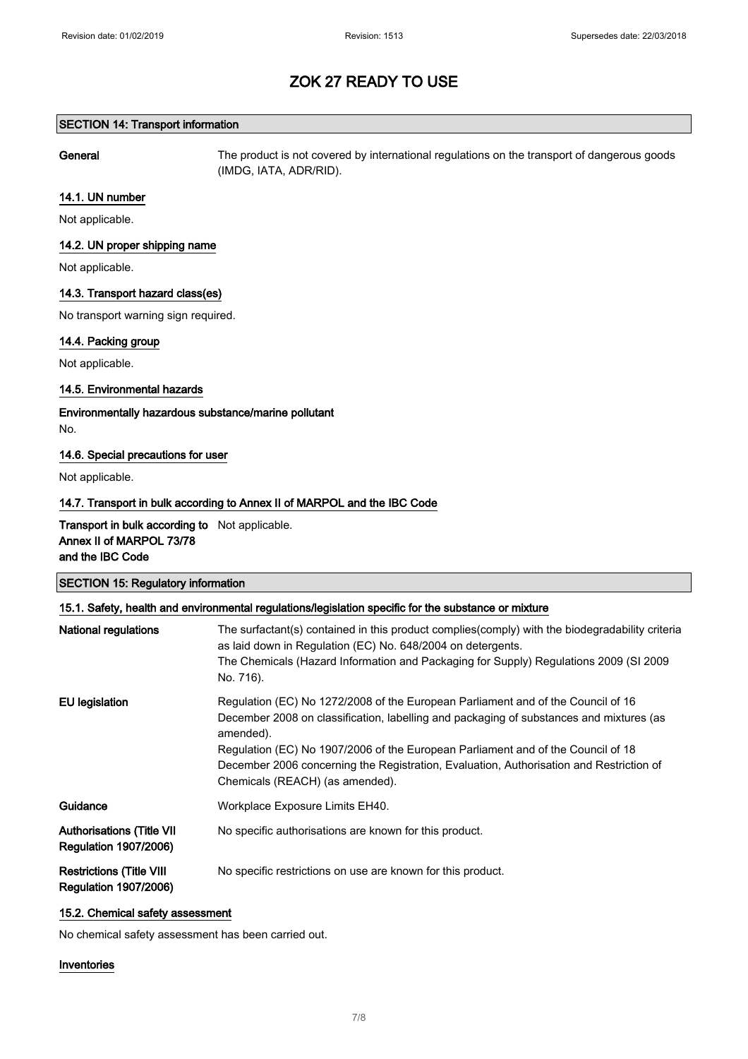#### SECTION 14: Transport information

General The product is not covered by international regulations on the transport of dangerous goods (IMDG, IATA, ADR/RID).

#### 14.1. UN number

Not applicable.

### 14.2. UN proper shipping name

Not applicable.

## 14.3. Transport hazard class(es)

No transport warning sign required.

## 14.4. Packing group

Not applicable.

#### 14.5. Environmental hazards

Environmentally hazardous substance/marine pollutant No.

#### 14.6. Special precautions for user

Not applicable.

## 14.7. Transport in bulk according to Annex II of MARPOL and the IBC Code

Transport in bulk according to Not applicable. Annex II of MARPOL 73/78 and the IBC Code

| <b>SECTION 15: Regulatory information</b><br>15.1. Safety, health and environmental regulations/legislation specific for the substance or mixture |                                                                                                                                                                                                                                                                                                                                                                                                            |
|---------------------------------------------------------------------------------------------------------------------------------------------------|------------------------------------------------------------------------------------------------------------------------------------------------------------------------------------------------------------------------------------------------------------------------------------------------------------------------------------------------------------------------------------------------------------|
|                                                                                                                                                   |                                                                                                                                                                                                                                                                                                                                                                                                            |
| EU legislation                                                                                                                                    | Regulation (EC) No 1272/2008 of the European Parliament and of the Council of 16<br>December 2008 on classification, labelling and packaging of substances and mixtures (as<br>amended).<br>Regulation (EC) No 1907/2006 of the European Parliament and of the Council of 18<br>December 2006 concerning the Registration, Evaluation, Authorisation and Restriction of<br>Chemicals (REACH) (as amended). |
| Guidance                                                                                                                                          | Workplace Exposure Limits EH40.                                                                                                                                                                                                                                                                                                                                                                            |
| <b>Authorisations (Title VII</b><br><b>Regulation 1907/2006)</b>                                                                                  | No specific authorisations are known for this product.                                                                                                                                                                                                                                                                                                                                                     |
| <b>Restrictions (Title VIII</b><br><b>Regulation 1907/2006)</b>                                                                                   | No specific restrictions on use are known for this product.                                                                                                                                                                                                                                                                                                                                                |

#### 15.2. Chemical safety assessment

No chemical safety assessment has been carried out.

#### Inventories